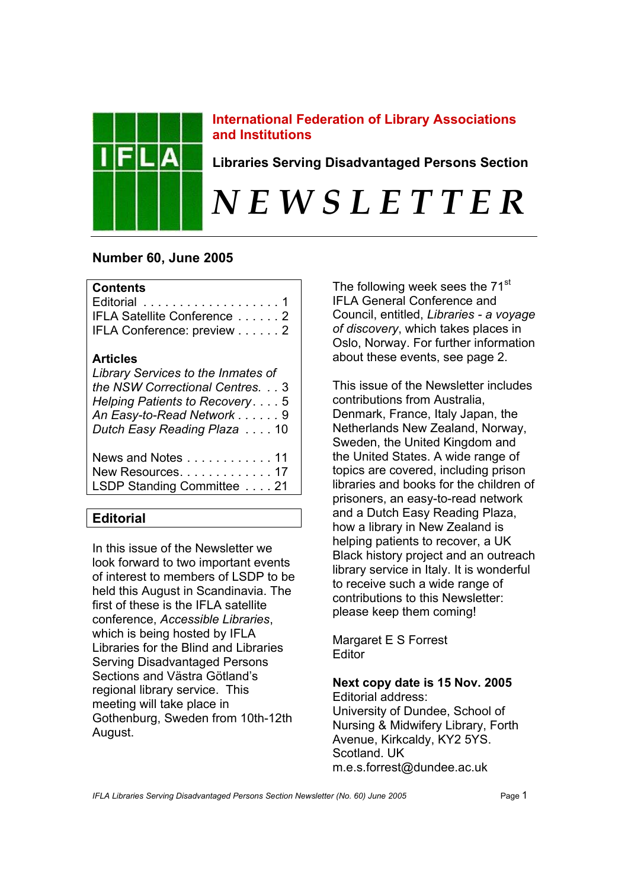

## **International Federation of Library Associations and Institutions**

**Libraries Serving Disadvantaged Persons Section** 

# *N E W S L E T T E R*

# **Number 60, June 2005**

## **Contents**

| Editorial 1                 |  |
|-----------------------------|--|
| IFLA Satellite Conference 2 |  |
| IFLA Conference: preview 2  |  |

## **Articles**

| Library Services to the Inmates of<br>the NSW Correctional Centres. 3<br>Helping Patients to Recovery. 5<br>An Easy-to-Read Network 9<br>Dutch Easy Reading Plaza 10 |  |
|----------------------------------------------------------------------------------------------------------------------------------------------------------------------|--|
| News and Notes 11<br>New Resources. 17<br>LSDP Standing Committee 21                                                                                                 |  |

# **Editorial**

In this issue of the Newsletter we look forward to two important events of interest to members of LSDP to be held this August in Scandinavia. The first of these is the IFLA satellite conference, *Accessible Libraries*, which is being hosted by IFLA Libraries for the Blind and Libraries Serving Disadvantaged Persons Sections and Västra Götland's regional library service. This meeting will take place in Gothenburg, Sweden from 10th-12th August.

The following week sees the 71<sup>st</sup> IFLA General Conference and Council, entitled, *Libraries - a voyage of discovery*, which takes places in Oslo, Norway. For further information about these events, see page 2.

This issue of the Newsletter includes contributions from Australia, Denmark, France, Italy Japan, the Netherlands New Zealand, Norway, Sweden, the United Kingdom and the United States. A wide range of topics are covered, including prison libraries and books for the children of prisoners, an easy-to-read network and a Dutch Easy Reading Plaza, how a library in New Zealand is helping patients to recover, a UK Black history project and an outreach library service in Italy. It is wonderful to receive such a wide range of contributions to this Newsletter: please keep them coming!

Margaret E S Forrest Editor

# **Next copy date is 15 Nov. 2005**

Editorial address: University of Dundee, School of Nursing & Midwifery Library, Forth Avenue, Kirkcaldy, KY2 5YS. Scotland. UK m.e.s.forrest@dundee.ac.uk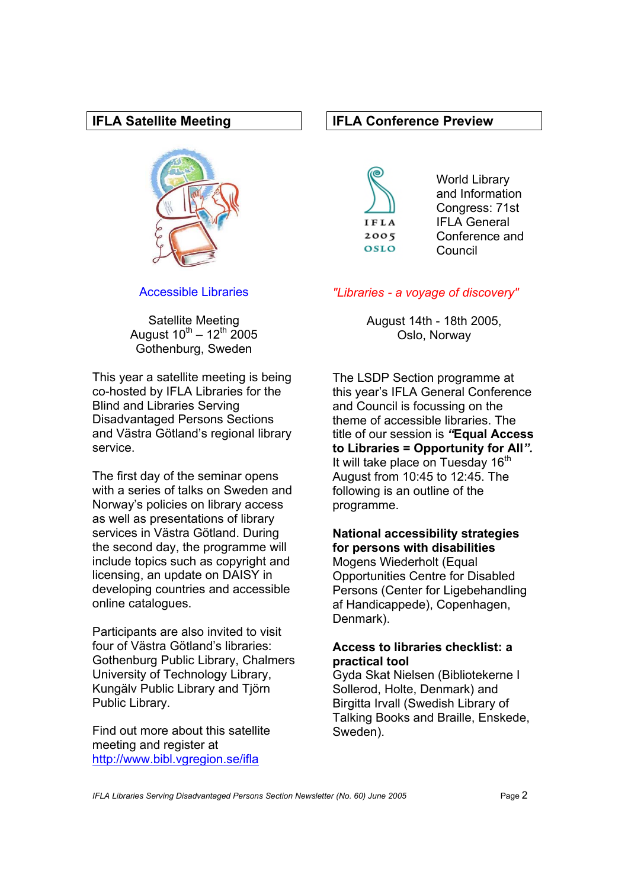## **IFLA Satellite Meeting**



Accessible Libraries

Satellite Meeting August  $10^{th} - 12^{th}$  2005 Gothenburg, Sweden

This year a satellite meeting is being co-hosted by IFLA Libraries for the Blind and Libraries Serving Disadvantaged Persons Sections and Västra Götland's regional library service.

The first day of the seminar opens with a series of talks on Sweden and Norway's policies on library access as well as presentations of library services in Västra Götland. During the second day, the programme will include topics such as copyright and licensing, an update on DAISY in developing countries and accessible online catalogues.

Participants are also invited to visit four of Västra Götland's libraries: Gothenburg Public Library, Chalmers University of Technology Library, Kungälv Public Library and Tjörn Public Library.

Find out more about this satellite meeting and register at <http://www.bibl.vgregion.se/ifla>

## **IFLA Conference Preview**



World Library and Information Congress: 71st IFLA General Conference and Council

## *"Libraries - a voyage of discovery"*

August 14th - 18th 2005, Oslo, Norway

The LSDP Section programme at this year's IFLA General Conference and Council is focussing on the theme of accessible libraries. The title of our session is *"***Equal Access to Libraries = Opportunity for All***".* It will take place on Tuesday  $16<sup>th</sup>$ August from 10:45 to 12:45. The following is an outline of the programme.

#### **National accessibility strategies for persons with disabilities**

Mogens Wiederholt (Equal Opportunities Centre for Disabled Persons (Center for Ligebehandling af Handicappede), Copenhagen, Denmark).

## **Access to libraries checklist: a practical tool**

Gyda Skat Nielsen (Bibliotekerne I Sollerod, Holte, Denmark) and Birgitta Irvall (Swedish Library of Talking Books and Braille, Enskede, Sweden).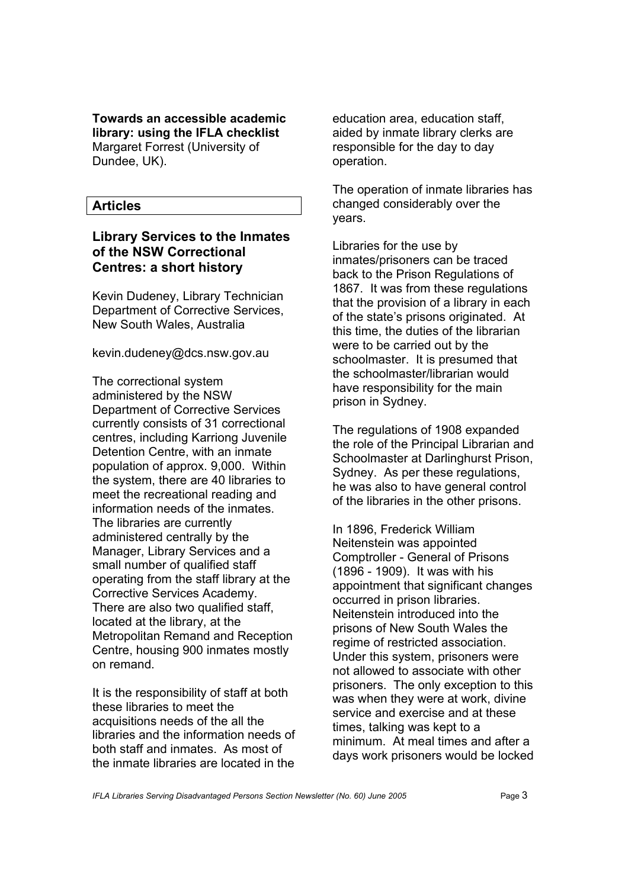**Towards an accessible academic library: using the IFLA checklist**  Margaret Forrest (University of Dundee, UK).

## **Articles**

## **Library Services to the Inmates of the NSW Correctional Centres: a short history**

Kevin Dudeney, Library Technician Department of Corrective Services, New South Wales, Australia

kevin.dudeney@dcs.nsw.gov.au

The correctional system administered by the NSW Department of Corrective Services currently consists of 31 correctional centres, including Karriong Juvenile Detention Centre, with an inmate population of approx. 9,000. Within the system, there are 40 libraries to meet the recreational reading and information needs of the inmates. The libraries are currently administered centrally by the Manager, Library Services and a small number of qualified staff operating from the staff library at the Corrective Services Academy. There are also two qualified staff, located at the library, at the Metropolitan Remand and Reception Centre, housing 900 inmates mostly on remand.

It is the responsibility of staff at both these libraries to meet the acquisitions needs of the all the libraries and the information needs of both staff and inmates. As most of the inmate libraries are located in the

education area, education staff, aided by inmate library clerks are responsible for the day to day operation.

The operation of inmate libraries has changed considerably over the years.

Libraries for the use by inmates/prisoners can be traced back to the Prison Regulations of 1867. It was from these regulations that the provision of a library in each of the state's prisons originated. At this time, the duties of the librarian were to be carried out by the schoolmaster. It is presumed that the schoolmaster/librarian would have responsibility for the main prison in Sydney.

The regulations of 1908 expanded the role of the Principal Librarian and Schoolmaster at Darlinghurst Prison, Sydney. As per these regulations, he was also to have general control of the libraries in the other prisons.

In 1896, Frederick William Neitenstein was appointed Comptroller - General of Prisons (1896 - 1909). It was with his appointment that significant changes occurred in prison libraries. Neitenstein introduced into the prisons of New South Wales the regime of restricted association. Under this system, prisoners were not allowed to associate with other prisoners. The only exception to this was when they were at work, divine service and exercise and at these times, talking was kept to a minimum. At meal times and after a days work prisoners would be locked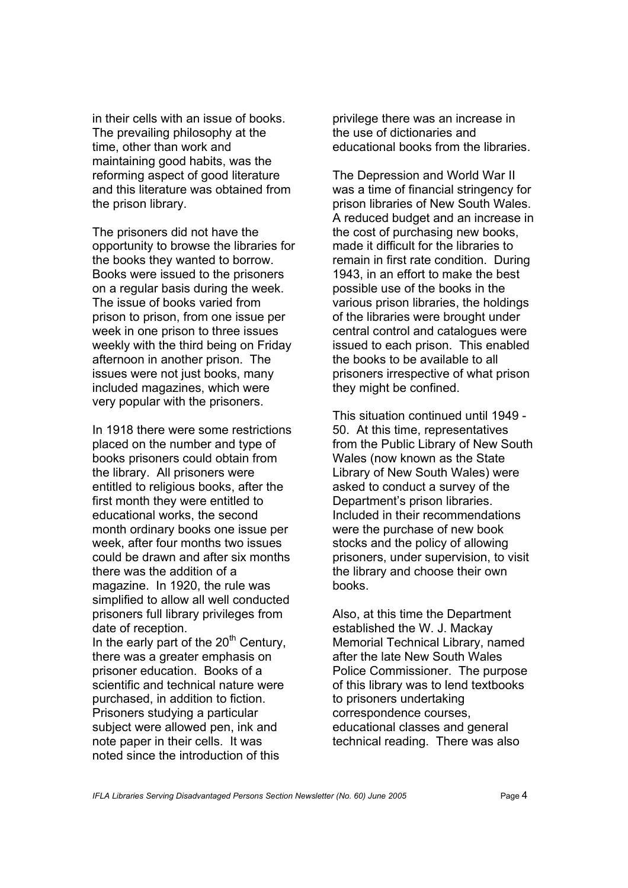in their cells with an issue of books. The prevailing philosophy at the time, other than work and maintaining good habits, was the reforming aspect of good literature and this literature was obtained from the prison library.

The prisoners did not have the opportunity to browse the libraries for the books they wanted to borrow. Books were issued to the prisoners on a regular basis during the week. The issue of books varied from prison to prison, from one issue per week in one prison to three issues weekly with the third being on Friday afternoon in another prison. The issues were not just books, many included magazines, which were very popular with the prisoners.

In 1918 there were some restrictions placed on the number and type of books prisoners could obtain from the library. All prisoners were entitled to religious books, after the first month they were entitled to educational works, the second month ordinary books one issue per week, after four months two issues could be drawn and after six months there was the addition of a magazine. In 1920, the rule was simplified to allow all well conducted prisoners full library privileges from date of reception.

In the early part of the  $20<sup>th</sup>$  Century, there was a greater emphasis on prisoner education. Books of a scientific and technical nature were purchased, in addition to fiction. Prisoners studying a particular subject were allowed pen, ink and note paper in their cells. It was noted since the introduction of this

privilege there was an increase in the use of dictionaries and educational books from the libraries.

The Depression and World War II was a time of financial stringency for prison libraries of New South Wales. A reduced budget and an increase in the cost of purchasing new books, made it difficult for the libraries to remain in first rate condition. During 1943, in an effort to make the best possible use of the books in the various prison libraries, the holdings of the libraries were brought under central control and catalogues were issued to each prison. This enabled the books to be available to all prisoners irrespective of what prison they might be confined.

This situation continued until 1949 - 50. At this time, representatives from the Public Library of New South Wales (now known as the State Library of New South Wales) were asked to conduct a survey of the Department's prison libraries. Included in their recommendations were the purchase of new book stocks and the policy of allowing prisoners, under supervision, to visit the library and choose their own books.

Also, at this time the Department established the W. J. Mackay Memorial Technical Library, named after the late New South Wales Police Commissioner. The purpose of this library was to lend textbooks to prisoners undertaking correspondence courses, educational classes and general technical reading. There was also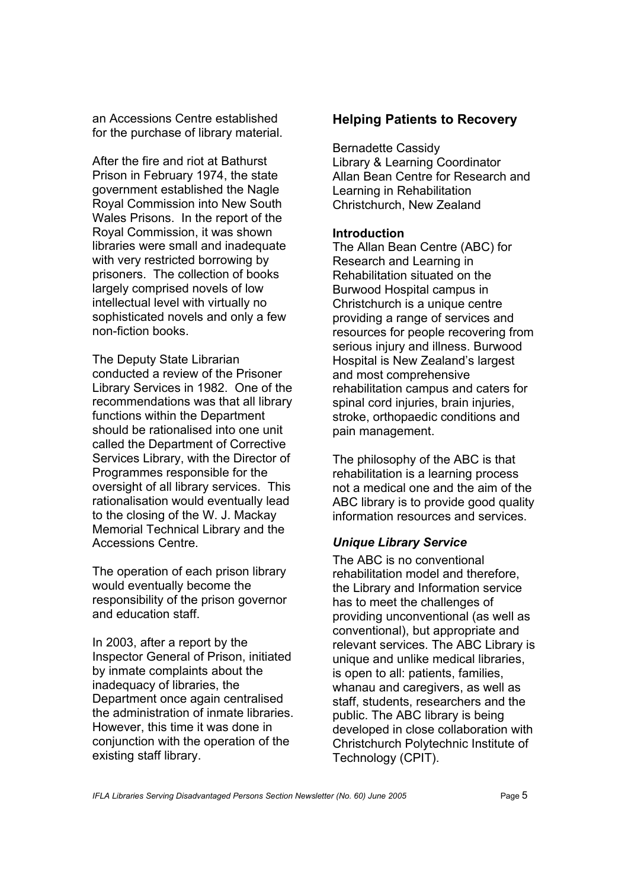an Accessions Centre established for the purchase of library material.

After the fire and riot at Bathurst Prison in February 1974, the state government established the Nagle Royal Commission into New South Wales Prisons. In the report of the Royal Commission, it was shown libraries were small and inadequate with very restricted borrowing by prisoners. The collection of books largely comprised novels of low intellectual level with virtually no sophisticated novels and only a few non-fiction books.

The Deputy State Librarian conducted a review of the Prisoner Library Services in 1982. One of the recommendations was that all library functions within the Department should be rationalised into one unit called the Department of Corrective Services Library, with the Director of Programmes responsible for the oversight of all library services. This rationalisation would eventually lead to the closing of the W. J. Mackay Memorial Technical Library and the Accessions Centre.

The operation of each prison library would eventually become the responsibility of the prison governor and education staff.

In 2003, after a report by the Inspector General of Prison, initiated by inmate complaints about the inadequacy of libraries, the Department once again centralised the administration of inmate libraries. However, this time it was done in conjunction with the operation of the existing staff library.

## **Helping Patients to Recovery**

Bernadette Cassidy Library & Learning Coordinator Allan Bean Centre for Research and Learning in Rehabilitation Christchurch, New Zealand

## **Introduction**

The Allan Bean Centre (ABC) for Research and Learning in Rehabilitation situated on the Burwood Hospital campus in Christchurch is a unique centre providing a range of services and resources for people recovering from serious injury and illness. Burwood Hospital is New Zealand's largest and most comprehensive rehabilitation campus and caters for spinal cord injuries, brain injuries, stroke, orthopaedic conditions and pain management.

The philosophy of the ABC is that rehabilitation is a learning process not a medical one and the aim of the ABC library is to provide good quality information resources and services.

## *Unique Library Service*

The ABC is no conventional rehabilitation model and therefore, the Library and Information service has to meet the challenges of providing unconventional (as well as conventional), but appropriate and relevant services. The ABC Library is unique and unlike medical libraries, is open to all: patients, families, whanau and caregivers, as well as staff, students, researchers and the public. The ABC library is being developed in close collaboration with Christchurch Polytechnic Institute of Technology (CPIT).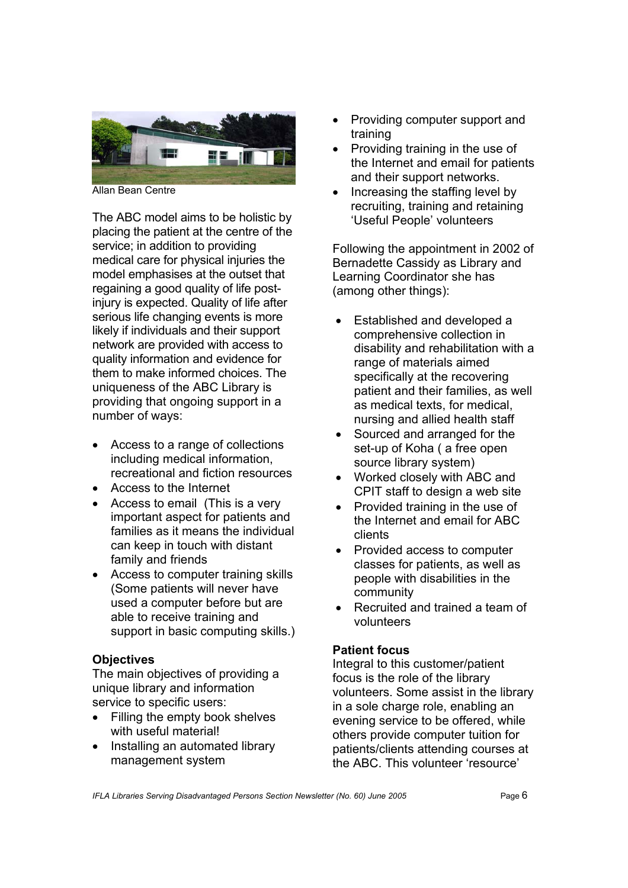

Allan Bean Centre

The ABC model aims to be holistic by placing the patient at the centre of the service; in addition to providing medical care for physical injuries the model emphasises at the outset that regaining a good quality of life postinjury is expected. Quality of life after serious life changing events is more likely if individuals and their support network are provided with access to quality information and evidence for them to make informed choices. The uniqueness of the ABC Library is providing that ongoing support in a number of ways:

- Access to a range of collections including medical information, recreational and fiction resources
- Access to the Internet
- Access to email (This is a very important aspect for patients and families as it means the individual can keep in touch with distant family and friends
- Access to computer training skills (Some patients will never have used a computer before but are able to receive training and support in basic computing skills.)

## **Objectives**

The main objectives of providing a unique library and information service to specific users:

- Filling the empty book shelves with useful material!
- Installing an automated library management system
- Providing computer support and training
- Providing training in the use of the Internet and email for patients and their support networks.
- Increasing the staffing level by recruiting, training and retaining 'Useful People' volunteers

Following the appointment in 2002 of Bernadette Cassidy as Library and Learning Coordinator she has (among other things):

- Established and developed a comprehensive collection in disability and rehabilitation with a range of materials aimed specifically at the recovering patient and their families, as well as medical texts, for medical, nursing and allied health staff
- Sourced and arranged for the set-up of Koha ( a free open source library system)
- Worked closely with ABC and CPIT staff to design a web site
- Provided training in the use of the Internet and email for ABC clients
- Provided access to computer classes for patients, as well as people with disabilities in the community
- Recruited and trained a team of volunteers

## **Patient focus**

Integral to this customer/patient focus is the role of the library volunteers. Some assist in the library in a sole charge role, enabling an evening service to be offered, while others provide computer tuition for patients/clients attending courses at the ABC. This volunteer 'resource'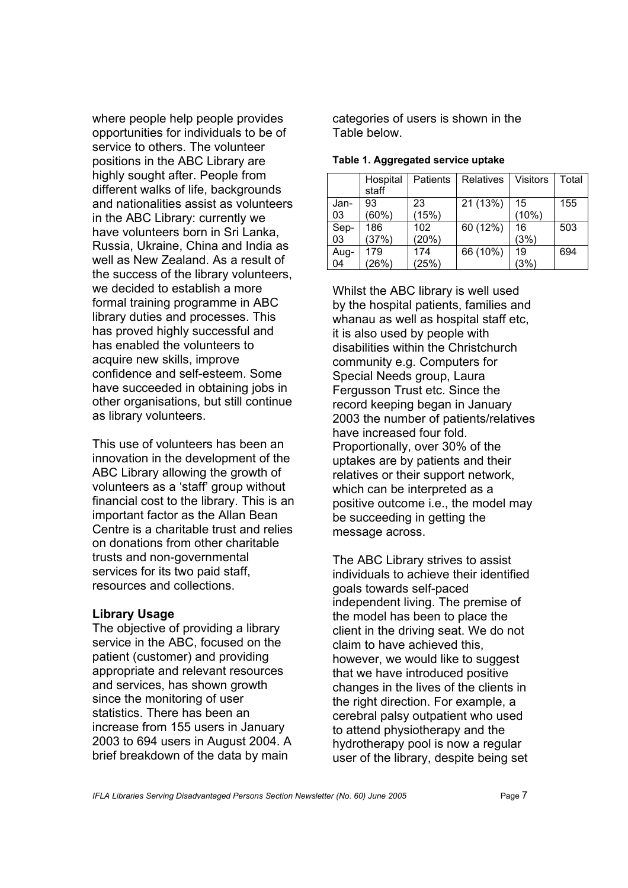where people help people provides opportunities for individuals to be of service to others. The volunteer positions in the ABC Library are highly sought after. People from different walks of life, backgrounds and nationalities assist as volunteers in the ABC Library: currently we have volunteers born in Sri Lanka, Russia, Ukraine, China and India as well as New Zealand. As a result of the success of the library volunteers, we decided to establish a more formal training programme in ABC library duties and processes. This has proved highly successful and has enabled the volunteers to acquire new skills, improve confidence and self-esteem. Some have succeeded in obtaining jobs in other organisations, but still continue as library volunteers.

This use of volunteers has been an innovation in the development of the ABC Library allowing the growth of volunteers as a 'staff' group without financial cost to the library. This is an important factor as the Allan Bean Centre is a charitable trust and relies on donations from other charitable trusts and non-governmental services for its two paid staff, resources and collections.

#### **Library Usage**

The objective of providing a library service in the ABC, focused on the patient (customer) and providing appropriate and relevant resources and services, has shown growth since the monitoring of user statistics. There has been an increase from 155 users in January 2003 to 694 users in August 2004. A brief breakdown of the data by main

categories of users is shown in the Table below.

|            | Hospital<br>staff | Patients     | Relatives | <b>Visitors</b> | Total |
|------------|-------------------|--------------|-----------|-----------------|-------|
| Jan-<br>03 | 93<br>$(60\%)$    | 23<br>(15%)  | 21 (13%)  | 15<br>(10%)     | 155   |
| Sep-<br>03 | 186<br>(37%)      | 102<br>(20%) | 60 (12%)  | 16<br>(3%)      | 503   |
| Aug-<br>04 | 179<br>(26%)      | 174<br>(25%) | 66 (10%)  | 19<br>(3%)      | 694   |

**Table 1. Aggregated service uptake** 

Whilst the ABC library is well used by the hospital patients, families and whanau as well as hospital staff etc. it is also used by people with disabilities within the Christchurch community e.g. Computers for Special Needs group, Laura Fergusson Trust etc. Since the record keeping began in January 2003 the number of patients/relatives have increased four fold. Proportionally, over 30% of the uptakes are by patients and their relatives or their support network, which can be interpreted as a positive outcome i.e., the model may be succeeding in getting the message across.

The ABC Library strives to assist individuals to achieve their identified goals towards self-paced independent living. The premise of the model has been to place the client in the driving seat. We do not claim to have achieved this, however, we would like to suggest that we have introduced positive changes in the lives of the clients in the right direction. For example, a cerebral palsy outpatient who used to attend physiotherapy and the hydrotherapy pool is now a regular user of the library, despite being set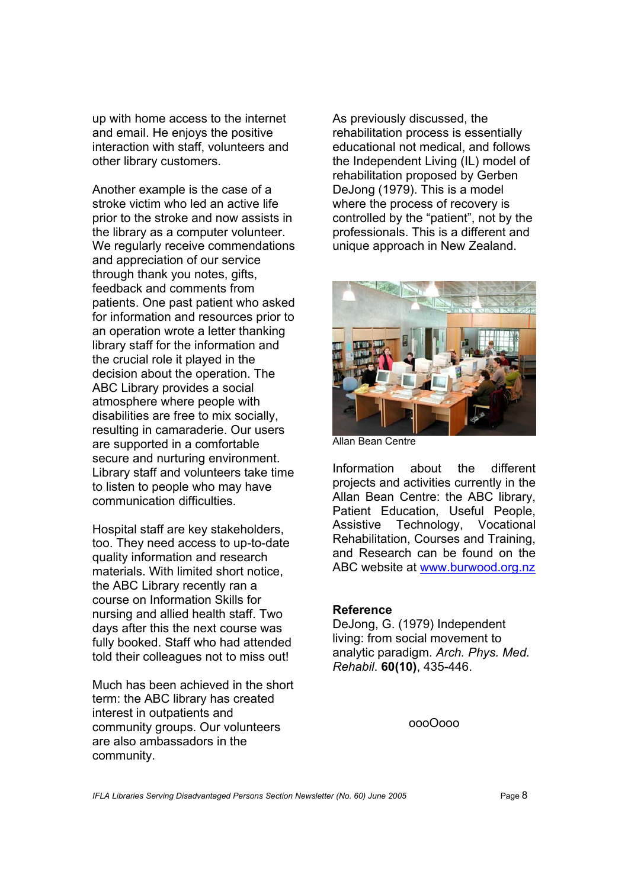up with home access to the internet and email. He enjoys the positive interaction with staff, volunteers and other library customers.

Another example is the case of a stroke victim who led an active life prior to the stroke and now assists in the library as a computer volunteer. We regularly receive commendations and appreciation of our service through thank you notes, gifts, feedback and comments from patients. One past patient who asked for information and resources prior to an operation wrote a letter thanking library staff for the information and the crucial role it played in the decision about the operation. The ABC Library provides a social atmosphere where people with disabilities are free to mix socially, resulting in camaraderie. Our users are supported in a comfortable secure and nurturing environment. Library staff and volunteers take time to listen to people who may have communication difficulties.

Hospital staff are key stakeholders, too. They need access to up-to-date quality information and research materials. With limited short notice, the ABC Library recently ran a course on Information Skills for nursing and allied health staff. Two days after this the next course was fully booked. Staff who had attended told their colleagues not to miss out!

Much has been achieved in the short term: the ABC library has created interest in outpatients and community groups. Our volunteers are also ambassadors in the community.

As previously discussed, the rehabilitation process is essentially educational not medical, and follows the Independent Living (IL) model of rehabilitation proposed by Gerben DeJong (1979). This is a model where the process of recovery is controlled by the "patient", not by the professionals. This is a different and unique approach in New Zealand.



Allan Bean Centre

Information about the different projects and activities currently in the Allan Bean Centre: the ABC library, Patient Education, Useful People, Assistive Technology, Vocational Rehabilitation, Courses and Training, and Research can be found on the ABC website at www.burwood.org.nz

#### **Reference**

DeJong, G. (1979) Independent living: from social movement to analytic paradigm. *Arch. Phys. Med. Rehabil*. **60(10)**, 435-446.

oooOooo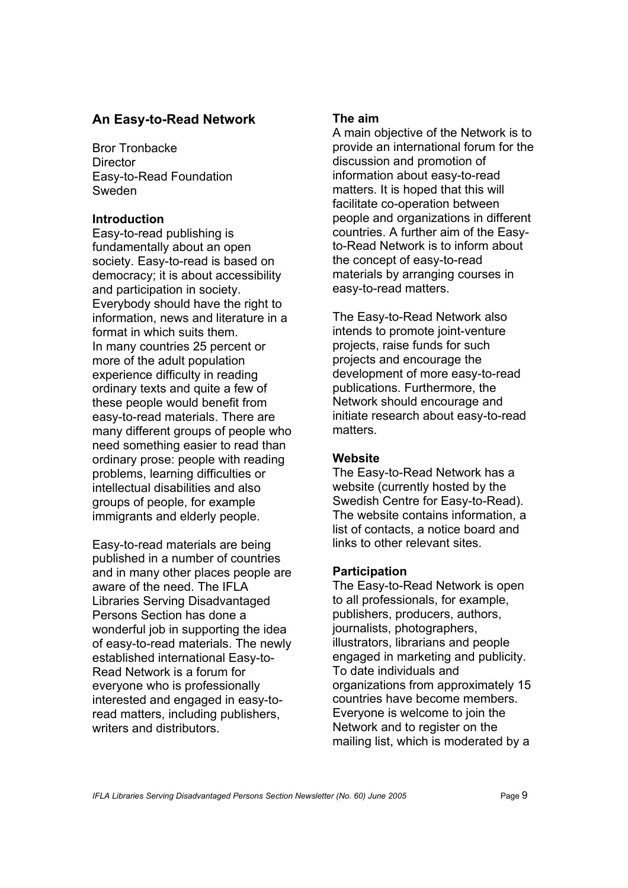## **An Easy-to-Read Network**

Bror Tronbacke **Director** Easy-to-Read Foundation Sweden

## **Introduction**

Easy-to-read publishing is fundamentally about an open society. Easy-to-read is based on democracy; it is about accessibility and participation in society. Everybody should have the right to information, news and literature in a format in which suits them. In many countries 25 percent or more of the adult population experience difficulty in reading ordinary texts and quite a few of these people would benefit from easy-to-read materials. There are many different groups of people who need something easier to read than ordinary prose: people with reading problems, learning difficulties or intellectual disabilities and also groups of people, for example immigrants and elderly people.

Easy-to-read materials are being published in a number of countries and in many other places people are aware of the need. The IFLA Libraries Serving Disadvantaged Persons Section has done a wonderful job in supporting the idea of easy-to-read materials. The newly established international Easy-to-Read Network is a forum for everyone who is professionally interested and engaged in easy-toread matters, including publishers, writers and distributors.

## **The aim**

A main objective of the Network is to provide an international forum for the discussion and promotion of information about easy-to-read matters. It is hoped that this will facilitate co-operation between people and organizations in different countries. A further aim of the Easyto-Read Network is to inform about the concept of easy-to-read materials by arranging courses in easy-to-read matters.

The Easy-to-Read Network also intends to promote joint-venture projects, raise funds for such projects and encourage the development of more easy-to-read publications. Furthermore, the Network should encourage and initiate research about easy-to-read matters.

## **Website**

The Easy-to-Read Network has a website (currently hosted by the Swedish Centre for Easy-to-Read). The website contains information, a list of contacts, a notice board and links to other relevant sites.

## **Participation**

The Easy-to-Read Network is open to all professionals, for example, publishers, producers, authors, journalists, photographers, illustrators, librarians and people engaged in marketing and publicity. To date individuals and organizations from approximately 15 countries have become members. Everyone is welcome to join the Network and to register on the mailing list, which is moderated by a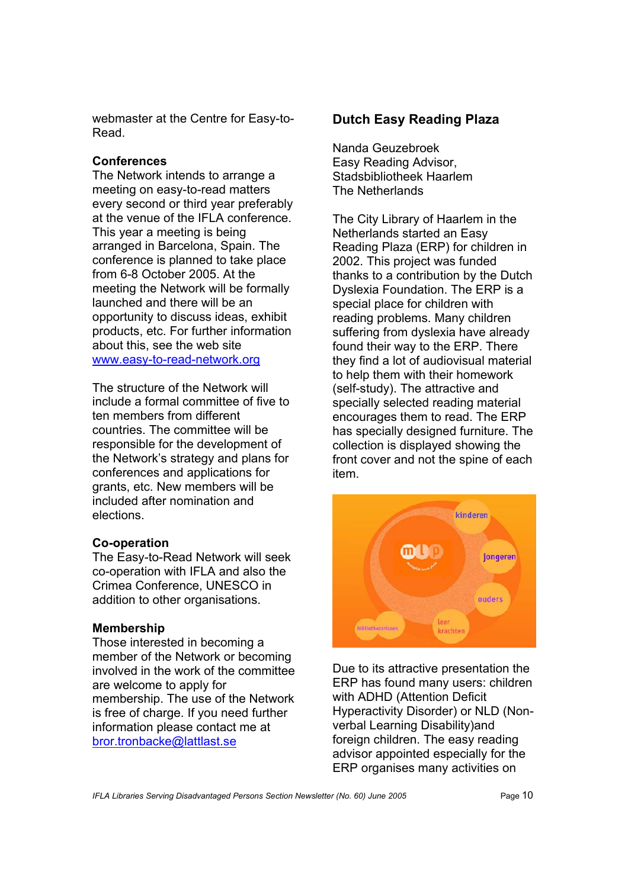webmaster at the Centre for Easy-to-Read.

## **Conferences**

The Network intends to arrange a meeting on easy-to-read matters every second or third year preferably at the venue of the IFLA conference. This year a meeting is being arranged in Barcelona, Spain. The conference is planned to take place from 6-8 October 2005. At the meeting the Network will be formally launched and there will be an opportunity to discuss ideas, exhibit products, etc. For further information about this, see the web site www.easy-to-read-network.org

The structure of the Network will include a formal committee of five to ten members from different countries. The committee will be responsible for the development of the Network's strategy and plans for conferences and applications for grants, etc. New members will be included after nomination and elections.

## **Co-operation**

The Easy-to-Read Network will seek co-operation with IFLA and also the Crimea Conference, UNESCO in addition to other organisations.

## **Membership**

Those interested in becoming a member of the Network or becoming involved in the work of the committee are welcome to apply for membership. The use of the Network is free of charge. If you need further information please contact me at bror.tronbacke@lattlast.se

## **Dutch Easy Reading Plaza**

Nanda Geuzebroek Easy Reading Advisor, Stadsbibliotheek Haarlem The Netherlands

The City Library of Haarlem in the Netherlands started an Easy Reading Plaza (ERP) for children in 2002. This project was funded thanks to a contribution by the Dutch Dyslexia Foundation. The ERP is a special place for children with reading problems. Many children suffering from dyslexia have already found their way to the ERP. There they find a lot of audiovisual material to help them with their homework (self-study). The attractive and specially selected reading material encourages them to read. The ERP has specially designed furniture. The collection is displayed showing the front cover and not the spine of each item.



Due to its attractive presentation the ERP has found many users: children with ADHD (Attention Deficit Hyperactivity Disorder) or NLD (Nonverbal Learning Disability)and foreign children. The easy reading advisor appointed especially for the ERP organises many activities on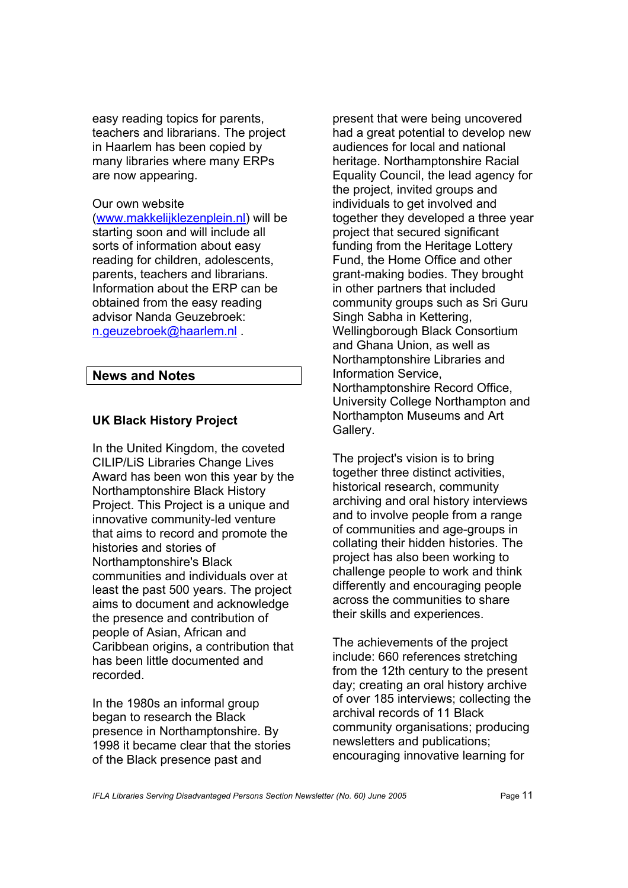easy reading topics for parents, teachers and librarians. The project in Haarlem has been copied by many libraries where many ERPs are now appearing.

#### Our own website

(www.makkelijklezenplein.nl) will be starting soon and will include all sorts of information about easy reading for children, adolescents, parents, teachers and librarians. Information about the ERP can be obtained from the easy reading advisor Nanda Geuzebroek: n.geuzebroek@haarlem.nl .

## **News and Notes**

## **UK Black History Project**

In the United Kingdom, the coveted CILIP/LiS Libraries Change Lives Award has been won this year by the Northamptonshire Black History Project. This Project is a unique and innovative community-led venture that aims to record and promote the histories and stories of Northamptonshire's Black communities and individuals over at least the past 500 years. The project aims to document and acknowledge the presence and contribution of people of Asian, African and Caribbean origins, a contribution that has been little documented and recorded.

In the 1980s an informal group began to research the Black presence in Northamptonshire. By 1998 it became clear that the stories of the Black presence past and

present that were being uncovered had a great potential to develop new audiences for local and national heritage. Northamptonshire Racial Equality Council, the lead agency for the project, invited groups and individuals to get involved and together they developed a three year project that secured significant funding from the Heritage Lottery Fund, the Home Office and other grant-making bodies. They brought in other partners that included community groups such as Sri Guru Singh Sabha in Kettering, Wellingborough Black Consortium and Ghana Union, as well as Northamptonshire Libraries and Information Service, Northamptonshire Record Office, University College Northampton and Northampton Museums and Art Gallery.

The project's vision is to bring together three distinct activities, historical research, community archiving and oral history interviews and to involve people from a range of communities and age-groups in collating their hidden histories. The project has also been working to challenge people to work and think differently and encouraging people across the communities to share their skills and experiences.

The achievements of the project include: 660 references stretching from the 12th century to the present day; creating an oral history archive of over 185 interviews; collecting the archival records of 11 Black community organisations; producing newsletters and publications; encouraging innovative learning for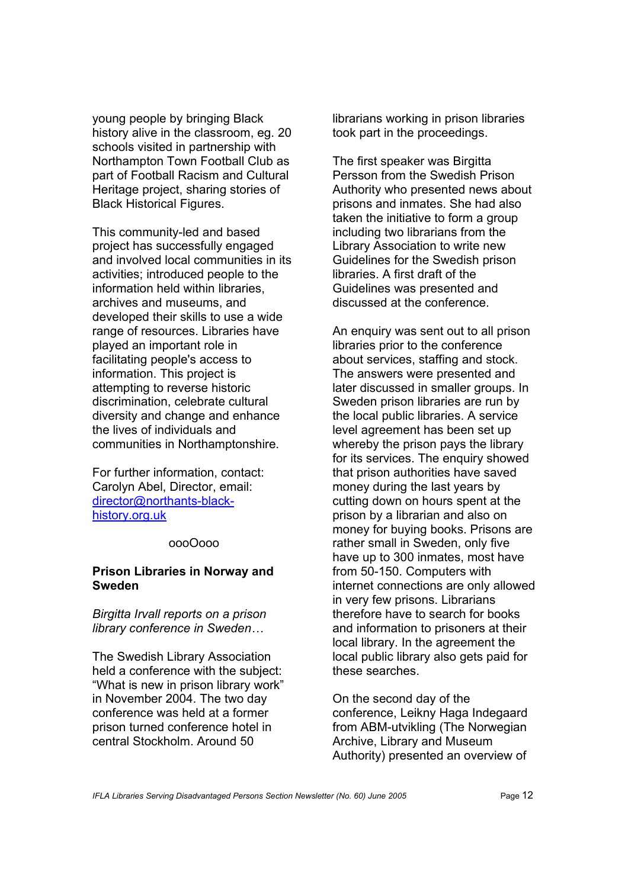young people by bringing Black history alive in the classroom, eg. 20 schools visited in partnership with Northampton Town Football Club as part of Football Racism and Cultural Heritage project, sharing stories of Black Historical Figures.

This community-led and based project has successfully engaged and involved local communities in its activities; introduced people to the information held within libraries, archives and museums, and developed their skills to use a wide range of resources. Libraries have played an important role in facilitating people's access to information. This project is attempting to reverse historic discrimination, celebrate cultural diversity and change and enhance the lives of individuals and communities in Northamptonshire.

For further information, contact: Carolyn Abel, Director, email: director@northants-blackhistory.org.uk

#### oooOooo

#### **Prison Libraries in Norway and Sweden**

*Birgitta Irvall reports on a prison library conference in Sweden…* 

The Swedish Library Association held a conference with the subject: "What is new in prison library work" in November 2004. The two day conference was held at a former prison turned conference hotel in central Stockholm. Around 50

librarians working in prison libraries took part in the proceedings.

The first speaker was Birgitta Persson from the Swedish Prison Authority who presented news about prisons and inmates. She had also taken the initiative to form a group including two librarians from the Library Association to write new Guidelines for the Swedish prison libraries. A first draft of the Guidelines was presented and discussed at the conference.

An enquiry was sent out to all prison libraries prior to the conference about services, staffing and stock. The answers were presented and later discussed in smaller groups. In Sweden prison libraries are run by the local public libraries. A service level agreement has been set up whereby the prison pays the library for its services. The enquiry showed that prison authorities have saved money during the last years by cutting down on hours spent at the prison by a librarian and also on money for buying books. Prisons are rather small in Sweden, only five have up to 300 inmates, most have from 50-150. Computers with internet connections are only allowed in very few prisons. Librarians therefore have to search for books and information to prisoners at their local library. In the agreement the local public library also gets paid for these searches.

On the second day of the conference, Leikny Haga Indegaard from ABM-utvikling (The Norwegian Archive, Library and Museum Authority) presented an overview of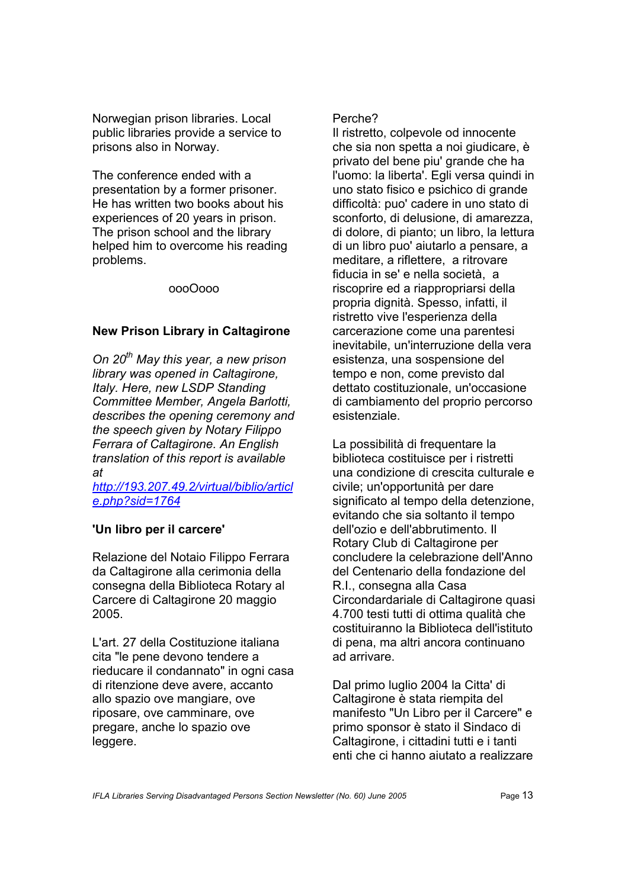Norwegian prison libraries. Local public libraries provide a service to prisons also in Norway.

The conference ended with a presentation by a former prisoner. He has written two books about his experiences of 20 years in prison. The prison school and the library helped him to overcome his reading problems.

oooOooo

## **New Prison Library in Caltagirone**

*On 20th May this year, a new prison library was opened in Caltagirone, Italy. Here, new LSDP Standing Committee Member, Angela Barlotti, describes the opening ceremony and the speech given by Notary Filippo Ferrara of Caltagirone. An English translation of this report is available at* 

*<http://193.207.49.2/virtual/biblio/articl> e.php?sid=1764*

## **'Un libro per il carcere'**

Relazione del Notaio Filippo Ferrara da Caltagirone alla cerimonia della consegna della Biblioteca Rotary al Carcere di Caltagirone 20 maggio 2005.

L'art. 27 della Costituzione italiana cita "le pene devono tendere a rieducare il condannato" in ogni casa di ritenzione deve avere, accanto allo spazio ove mangiare, ove riposare, ove camminare, ove pregare, anche lo spazio ove leggere.

## Perche?

Il ristretto, colpevole od innocente che sia non spetta a noi giudicare, è privato del bene piu' grande che ha l'uomo: la liberta'. Egli versa quindi in uno stato fisico e psichico di grande difficoltà: puo' cadere in uno stato di sconforto, di delusione, di amarezza, di dolore, di pianto; un libro, la lettura di un libro puo' aiutarlo a pensare, a meditare, a riflettere, a ritrovare fiducia in se' e nella società, a riscoprire ed a riappropriarsi della propria dignità. Spesso, infatti, il ristretto vive l'esperienza della carcerazione come una parentesi inevitabile, un'interruzione della vera esistenza, una sospensione del tempo e non, come previsto dal dettato costituzionale, un'occasione di cambiamento del proprio percorso esistenziale.

La possibilità di frequentare la biblioteca costituisce per i ristretti una condizione di crescita culturale e civile; un'opportunità per dare significato al tempo della detenzione, evitando che sia soltanto il tempo dell'ozio e dell'abbrutimento. Il Rotary Club di Caltagirone per concludere la celebrazione dell'Anno del Centenario della fondazione del R.I., consegna alla Casa Circondardariale di Caltagirone quasi 4.700 testi tutti di ottima qualità che costituiranno la Biblioteca dell'istituto di pena, ma altri ancora continuano ad arrivare.

Dal primo luglio 2004 la Citta' di Caltagirone è stata riempita del manifesto "Un Libro per il Carcere" e primo sponsor è stato il Sindaco di Caltagirone, i cittadini tutti e i tanti enti che ci hanno aiutato a realizzare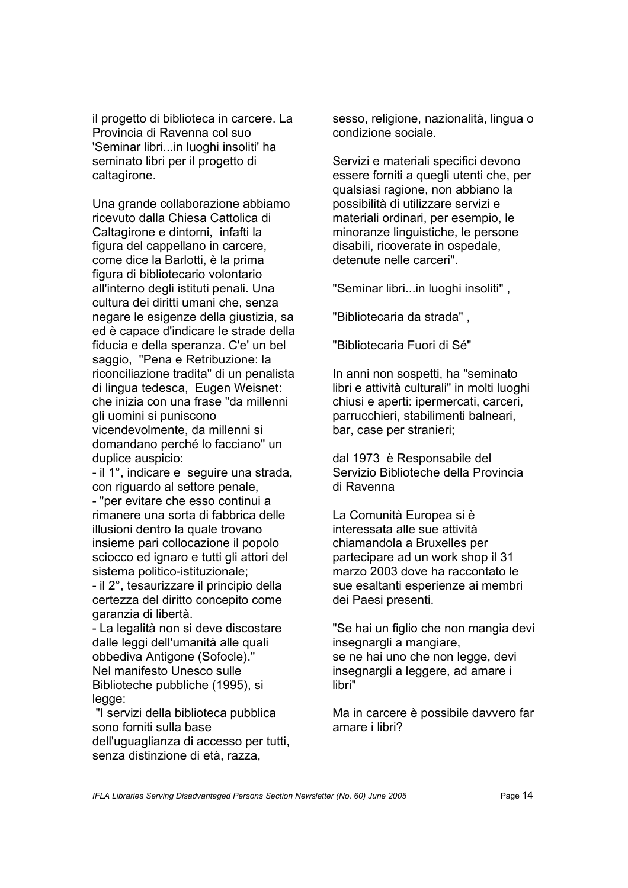il progetto di biblioteca in carcere. La Provincia di Ravenna col suo 'Seminar libri...in luoghi insoliti' ha seminato libri per il progetto di caltagirone.

Una grande collaborazione abbiamo ricevuto dalla Chiesa Cattolica di Caltagirone e dintorni, infafti la figura del cappellano in carcere, come dice la Barlotti, è la prima figura di bibliotecario volontario all'interno degli istituti penali. Una cultura dei diritti umani che, senza negare le esigenze della giustizia, sa ed è capace d'indicare le strade della fiducia e della speranza. C'e' un bel saggio, "Pena e Retribuzione: la riconciliazione tradita" di un penalista di lingua tedesca, Eugen Weisnet: che inizia con una frase "da millenni gli uomini si puniscono vicendevolmente, da millenni si domandano perché lo facciano" un duplice auspicio:

- il 1°, indicare e seguire una strada, con riguardo al settore penale,

- "per evitare che esso continui a rimanere una sorta di fabbrica delle illusioni dentro la quale trovano insieme pari collocazione il popolo sciocco ed ignaro e tutti gli attori del sistema politico-istituzionale;

- il 2°, tesaurizzare il principio della certezza del diritto concepito come garanzia di libertà.

- La legalità non si deve discostare dalle leggi dell'umanità alle quali obbediva Antigone (Sofocle)." Nel manifesto Unesco sulle Biblioteche pubbliche (1995), si legge:

 "I servizi della biblioteca pubblica sono forniti sulla base dell'uguaglianza di accesso per tutti, senza distinzione di età, razza,

sesso, religione, nazionalità, lingua o condizione sociale.

Servizi e materiali specifici devono essere forniti a quegli utenti che, per qualsiasi ragione, non abbiano la possibilità di utilizzare servizi e materiali ordinari, per esempio, le minoranze linguistiche, le persone disabili, ricoverate in ospedale, detenute nelle carceri".

"Seminar libri...in luoghi insoliti" ,

"Bibliotecaria da strada" ,

"Bibliotecaria Fuori di Sé"

In anni non sospetti, ha "seminato libri e attività culturali" in molti luoghi chiusi e aperti: ipermercati, carceri, parrucchieri, stabilimenti balneari, bar, case per stranieri;

dal 1973 è Responsabile del Servizio Biblioteche della Provincia di Ravenna

La Comunità Europea si è interessata alle sue attività chiamandola a Bruxelles per partecipare ad un work shop il 31 marzo 2003 dove ha raccontato le sue esaltanti esperienze ai membri dei Paesi presenti.

"Se hai un figlio che non mangia devi insegnargli a mangiare, se ne hai uno che non legge, devi insegnargli a leggere, ad amare i libri"

Ma in carcere è possibile davvero far amare i libri?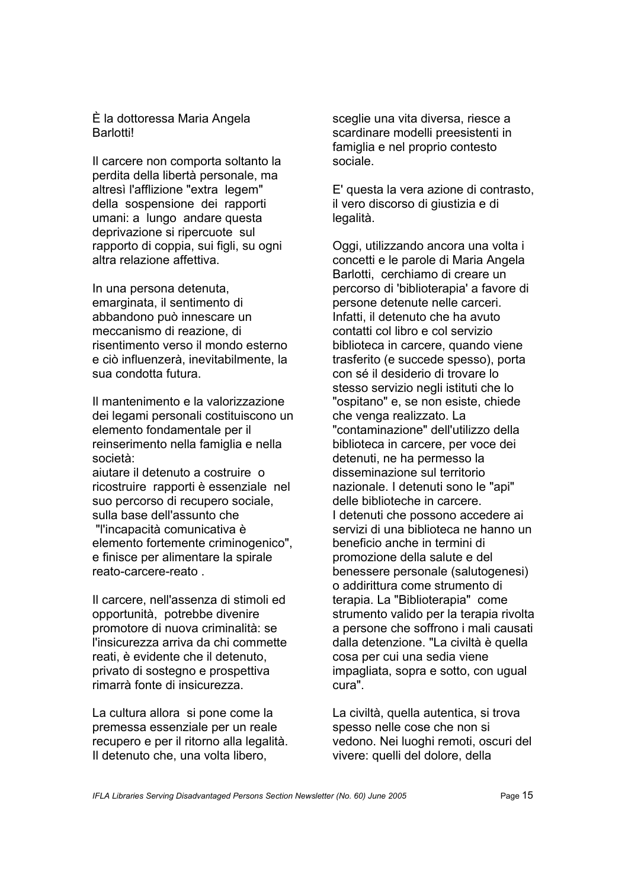#### È la dottoressa Maria Angela Barlotti!

Il carcere non comporta soltanto la perdita della libertà personale, ma altresì l'afflizione "extra legem" della sospensione dei rapporti umani: a lungo andare questa deprivazione si ripercuote sul rapporto di coppia, sui figli, su ogni altra relazione affettiva.

In una persona detenuta, emarginata, il sentimento di abbandono può innescare un meccanismo di reazione, di risentimento verso il mondo esterno e ciò influenzerà, inevitabilmente, la sua condotta futura.

Il mantenimento e la valorizzazione dei legami personali costituiscono un elemento fondamentale per il reinserimento nella famiglia e nella società:

aiutare il detenuto a costruire o ricostruire rapporti è essenziale nel suo percorso di recupero sociale, sulla base dell'assunto che

 "l'incapacità comunicativa è elemento fortemente criminogenico", e finisce per alimentare la spirale reato-carcere-reato .

Il carcere, nell'assenza di stimoli ed opportunità, potrebbe divenire promotore di nuova criminalità: se l'insicurezza arriva da chi commette reati, è evidente che il detenuto, privato di sostegno e prospettiva rimarrà fonte di insicurezza.

La cultura allora si pone come la premessa essenziale per un reale recupero e per il ritorno alla legalità. Il detenuto che, una volta libero,

sceglie una vita diversa, riesce a scardinare modelli preesistenti in famiglia e nel proprio contesto sociale.

E' questa la vera azione di contrasto, il vero discorso di giustizia e di legalità.

Oggi, utilizzando ancora una volta i concetti e le parole di Maria Angela Barlotti, cerchiamo di creare un percorso di 'biblioterapia' a favore di persone detenute nelle carceri. Infatti, il detenuto che ha avuto contatti col libro e col servizio biblioteca in carcere, quando viene trasferito (e succede spesso), porta con sé il desiderio di trovare lo stesso servizio negli istituti che lo "ospitano" e, se non esiste, chiede che venga realizzato. La "contaminazione" dell'utilizzo della biblioteca in carcere, per voce dei detenuti, ne ha permesso la disseminazione sul territorio nazionale. I detenuti sono le "api" delle biblioteche in carcere. I detenuti che possono accedere ai servizi di una biblioteca ne hanno un beneficio anche in termini di promozione della salute e del benessere personale (salutogenesi) o addirittura come strumento di terapia. La "Biblioterapia" come strumento valido per la terapia rivolta a persone che soffrono i mali causati dalla detenzione. "La civiltà è quella cosa per cui una sedia viene impagliata, sopra e sotto, con ugual cura".

La civiltà, quella autentica, si trova spesso nelle cose che non si vedono. Nei luoghi remoti, oscuri del vivere: quelli del dolore, della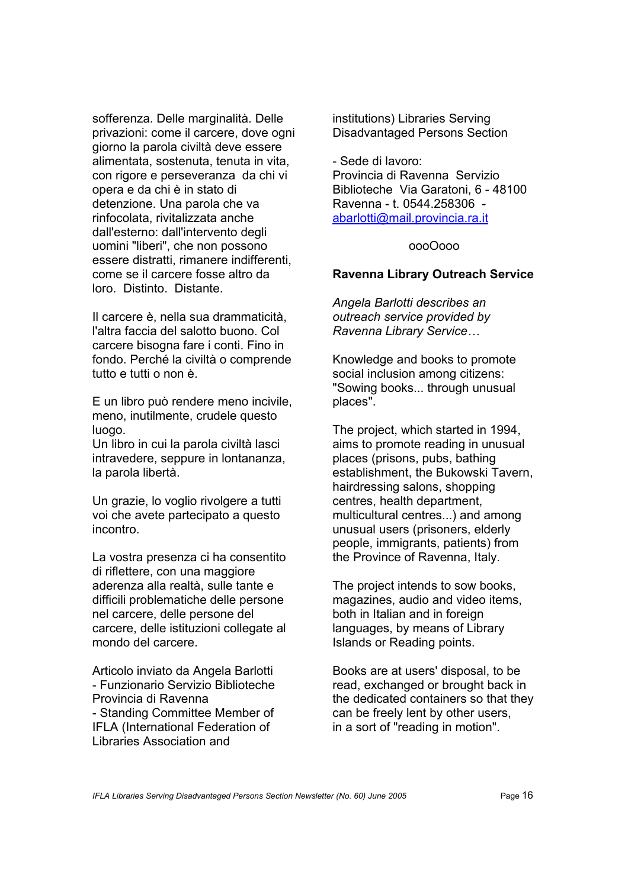sofferenza. Delle marginalità. Delle privazioni: come il carcere, dove ogni giorno la parola civiltà deve essere alimentata, sostenuta, tenuta in vita, con rigore e perseveranza da chi vi opera e da chi è in stato di detenzione. Una parola che va rinfocolata, rivitalizzata anche dall'esterno: dall'intervento degli uomini "liberi", che non possono essere distratti, rimanere indifferenti, come se il carcere fosse altro da loro. Distinto. Distante.

Il carcere è, nella sua drammaticità, l'altra faccia del salotto buono. Col carcere bisogna fare i conti. Fino in fondo. Perché la civiltà o comprende tutto e tutti o non è.

E un libro può rendere meno incivile, meno, inutilmente, crudele questo luogo.

Un libro in cui la parola civiltà lasci intravedere, seppure in lontananza, la parola libertà.

Un grazie, lo voglio rivolgere a tutti voi che avete partecipato a questo incontro.

La vostra presenza ci ha consentito di riflettere, con una maggiore aderenza alla realtà, sulle tante e difficili problematiche delle persone nel carcere, delle persone del carcere, delle istituzioni collegate al mondo del carcere.

Articolo inviato da Angela Barlotti - Funzionario Servizio Biblioteche Provincia di Ravenna - Standing Committee Member of IFLA (International Federation of Libraries Association and

institutions) Libraries Serving Disadvantaged Persons Section

- Sede di lavoro: Provincia di Ravenna Servizio Biblioteche Via Garatoni, 6 - 48100 Ravenna - t. 0544.258306 abarlotti@mail.provincia.ra.it

#### oooOooo

#### **Ravenna Library Outreach Service**

*Angela Barlotti describes an outreach service provided by Ravenna Library Service…* 

Knowledge and books to promote social inclusion among citizens: "Sowing books... through unusual places".

The project, which started in 1994, aims to promote reading in unusual places (prisons, pubs, bathing establishment, the Bukowski Tavern, hairdressing salons, shopping centres, health department, multicultural centres...) and among unusual users (prisoners, elderly people, immigrants, patients) from the Province of Ravenna, Italy.

The project intends to sow books, magazines, audio and video items, both in Italian and in foreign languages, by means of Library Islands or Reading points.

Books are at users' disposal, to be read, exchanged or brought back in the dedicated containers so that they can be freely lent by other users, in a sort of "reading in motion".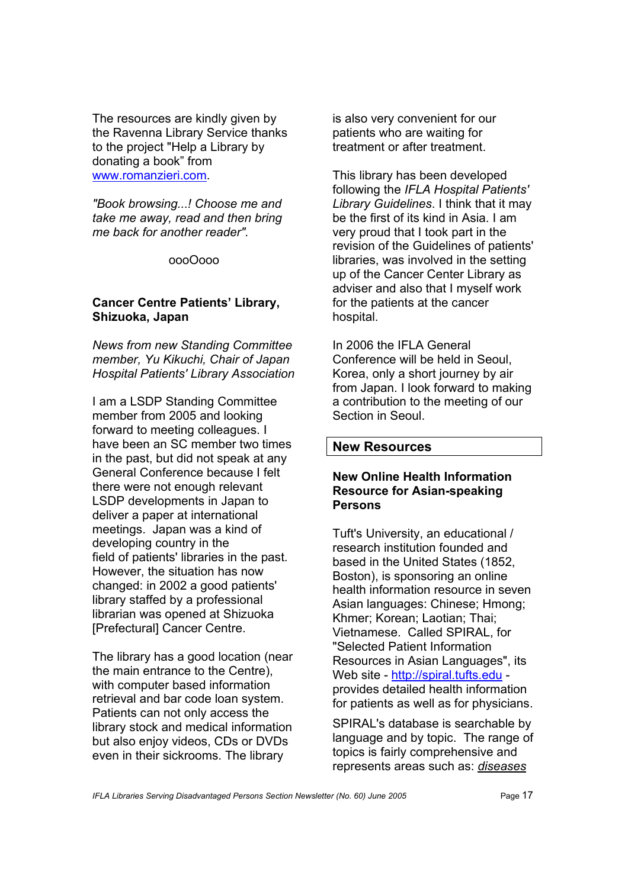The resources are kindly given by the Ravenna Library Service thanks to the project "Help a Library by donating a book" from www.romanzieri.com.

*"Book browsing...! Choose me and take me away, read and then bring me back for another reader".* 

#### oooOooo

#### **Cancer Centre Patients' Library, Shizuoka, Japan**

*News from new Standing Committee member, Yu Kikuchi, Chair of Japan Hospital Patients' Library Association* 

I am a LSDP Standing Committee member from 2005 and looking forward to meeting colleagues. I have been an SC member two times in the past, but did not speak at any General Conference because I felt there were not enough relevant LSDP developments in Japan to deliver a paper at international meetings. Japan was a kind of developing country in the field of patients' libraries in the past. However, the situation has now changed: in 2002 a good patients' library staffed by a professional librarian was opened at Shizuoka [Prefectural] Cancer Centre.

The library has a good location (near the main entrance to the Centre), with computer based information retrieval and bar code loan system. Patients can not only access the library stock and medical information but also enjoy videos, CDs or DVDs even in their sickrooms. The library

is also very convenient for our patients who are waiting for treatment or after treatment.

This library has been developed following the *IFLA Hospital Patients' Library Guidelines*. I think that it may be the first of its kind in Asia. I am very proud that I took part in the revision of the Guidelines of patients' libraries, was involved in the setting up of the Cancer Center Library as adviser and also that I myself work for the patients at the cancer hospital.

In 2006 the IFLA General Conference will be held in Seoul, Korea, only a short journey by air from Japan. I look forward to making a contribution to the meeting of our Section in Seoul.

## **New Resources**

## **New Online Health Information Resource for Asian-speaking Persons**

Tuft's University, an educational / research institution founded and based in the United States (1852, Boston), is sponsoring an online health information resource in seven Asian languages: Chinese; Hmong; Khmer; Korean; Laotian; Thai; Vietnamese. Called SPIRAL, for "Selected Patient Information Resources in Asian Languages", its Web site - <http://spiral.tufts.edu>provides detailed health information for patients as well as for physicians.

SPIRAL's database is searchable by language and by topic. The range of topics is fairly comprehensive and represents areas such as: *diseases*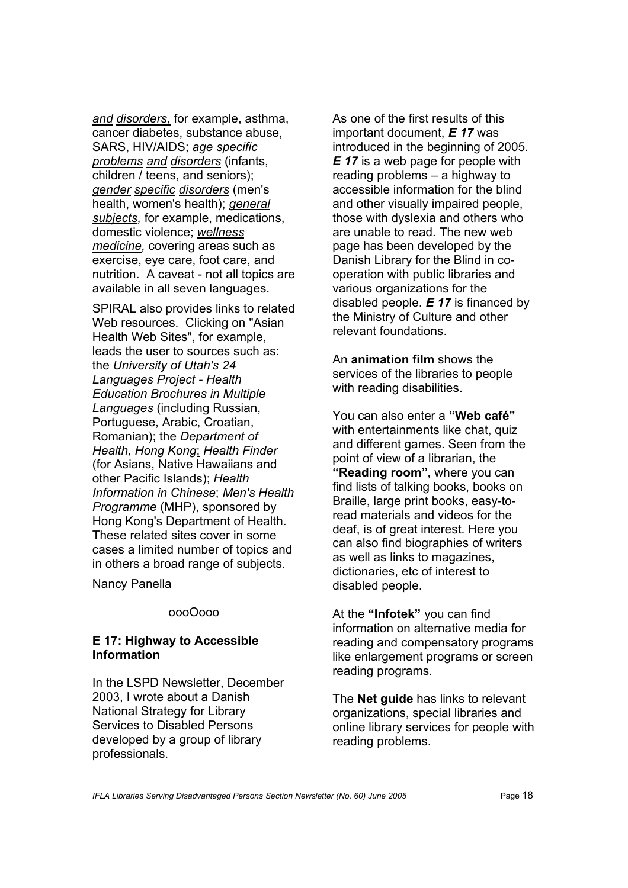*and disorders,* for example, asthma, cancer diabetes, substance abuse, SARS, HIV/AIDS; *age specific problems and disorders* (infants, children / teens, and seniors); *gender specific disorders* (men's health, women's health); *general subjects,* for example, medications, domestic violence; *wellness medicine,* covering areas such as exercise, eye care, foot care, and nutrition. A caveat - not all topics are available in all seven languages.

SPIRAL also provides links to related Web resources. Clicking on "Asian Health Web Sites", for example, leads the user to sources such as: the *University of Utah's 24 Languages Project - Health Education Brochures in Multiple Languages* (including Russian, Portuguese, Arabic, Croatian, Romanian); the *Department of Health, Hong Kong*; *Health Finder*  (for Asians, Native Hawaiians and other Pacific Islands); *Health Information in Chinese*; *Men's Health Programme* (MHP), sponsored by Hong Kong's Department of Health. These related sites cover in some cases a limited number of topics and in others a broad range of subjects.

Nancy Panella

#### oooOooo

## **E 17: Highway to Accessible Information**

In the LSPD Newsletter, December 2003, I wrote about a Danish National Strategy for Library Services to Disabled Persons developed by a group of library professionals.

As one of the first results of this important document, *E 17* was introduced in the beginning of 2005. *E 17* is a web page for people with reading problems – a highway to accessible information for the blind and other visually impaired people, those with dyslexia and others who are unable to read. The new web page has been developed by the Danish Library for the Blind in cooperation with public libraries and various organizations for the disabled people. *E 17* is financed by the Ministry of Culture and other relevant foundations.

An **animation film** shows the services of the libraries to people with reading disabilities.

You can also enter a **"Web café"** with entertainments like chat, quiz and different games. Seen from the point of view of a librarian, the **"Reading room",** where you can find lists of talking books, books on Braille, large print books, easy-toread materials and videos for the deaf, is of great interest. Here you can also find biographies of writers as well as links to magazines, dictionaries, etc of interest to disabled people.

At the **"Infotek"** you can find information on alternative media for reading and compensatory programs like enlargement programs or screen reading programs.

The **Net guide** has links to relevant organizations, special libraries and online library services for people with reading problems.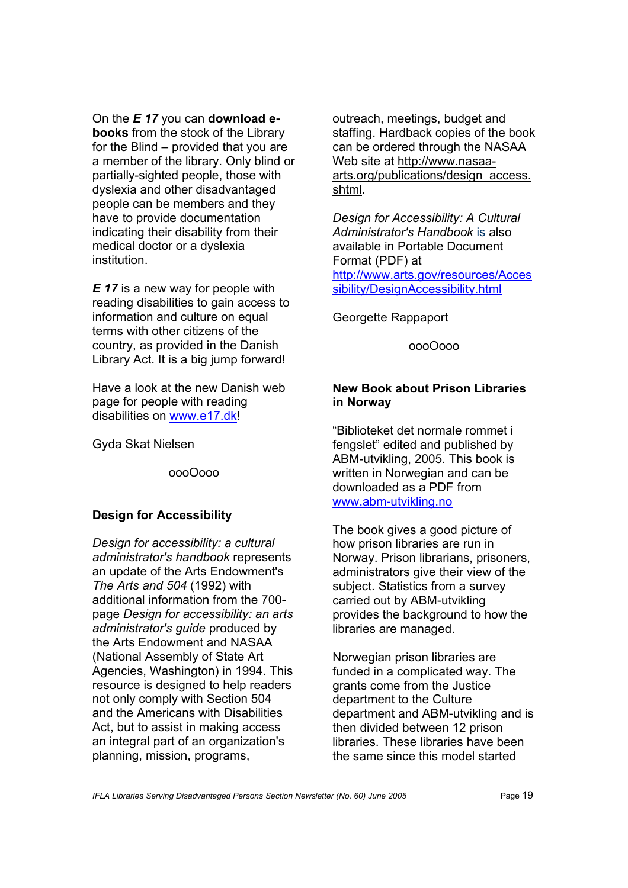On the *E 17* you can **download ebooks** from the stock of the Library for the Blind – provided that you are a member of the library. Only blind or partially-sighted people, those with dyslexia and other disadvantaged people can be members and they have to provide documentation indicating their disability from their medical doctor or a dyslexia institution.

*E 17* is a new way for people with reading disabilities to gain access to information and culture on equal terms with other citizens of the country, as provided in the Danish Library Act. It is a big jump forward!

Have a look at the new Danish web page for people with reading disabilities on www.e17.dk!

Gyda Skat Nielsen

oooOooo

## **Design for Accessibility**

*Design for accessibility: a cultural administrator's handbook* represents an update of the Arts Endowment's *The Arts and 504* (1992) with additional information from the 700 page *Design for accessibility: an arts administrator's guide* produced by the Arts Endowment and NASAA (National Assembly of State Art Agencies, Washington) in 1994. This resource is designed to help readers not only comply with Section 504 and the Americans with Disabilities Act, but to assist in making access an integral part of an organization's planning, mission, programs,

outreach, meetings, budget and staffing. Hardback copies of the book can be ordered through the NASAA Web site at http://www.nasaa[arts.org/publications/design\\_access.](http://www.nasaaarts.org/publications/design_access) shtml.

*Design for Accessibility: A Cultural Administrator's Handbook* is also available in Portable Document Format (PDF) at <http://www.arts.gov/resources/Acces> sibility/DesignAccessibility.html

Georgette Rappaport

oooOooo

## **New Book about Prison Libraries in Norway**

"Biblioteket det normale rommet i fengslet" edited and published by ABM-utvikling, 2005. This book is written in Norwegian and can be downloaded as a PDF from www.abm-utvikling.no

The book gives a good picture of how prison libraries are run in Norway. Prison librarians, prisoners, administrators give their view of the subject. Statistics from a survey carried out by ABM-utvikling provides the background to how the libraries are managed.

Norwegian prison libraries are funded in a complicated way. The grants come from the Justice department to the Culture department and ABM-utvikling and is then divided between 12 prison libraries. These libraries have been the same since this model started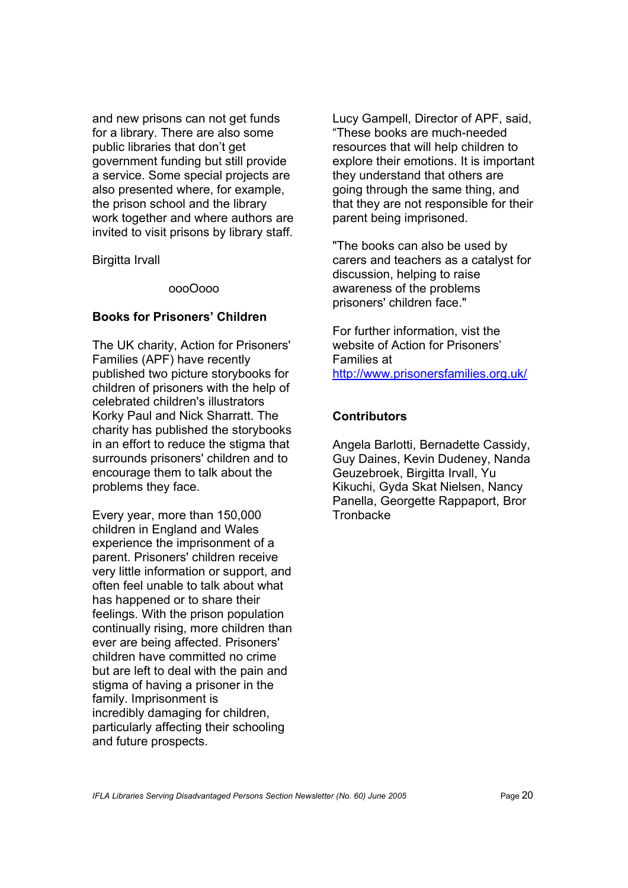and new prisons can not get funds for a library. There are also some public libraries that don't get government funding but still provide a service. Some special projects are also presented where, for example, the prison school and the library work together and where authors are invited to visit prisons by library staff.

Birgitta Irvall

#### oooOooo

## **Books for Prisoners' Children**

The UK charity, Action for Prisoners' Families (APF) have recently published two picture storybooks for children of prisoners with the help of celebrated children's illustrators Korky Paul and Nick Sharratt. The charity has published the storybooks in an effort to reduce the stigma that surrounds prisoners' children and to encourage them to talk about the problems they face.

Every year, more than 150,000 children in England and Wales experience the imprisonment of a parent. Prisoners' children receive very little information or support, and often feel unable to talk about what has happened or to share their feelings. With the prison population continually rising, more children than ever are being affected. Prisoners' children have committed no crime but are left to deal with the pain and stigma of having a prisoner in the family. Imprisonment is incredibly damaging for children, particularly affecting their schooling and future prospects.

Lucy Gampell, Director of APF, said, "These books are much-needed resources that will help children to explore their emotions. It is important they understand that others are going through the same thing, and that they are not responsible for their parent being imprisoned.

"The books can also be used by carers and teachers as a catalyst for discussion, helping to raise awareness of the problems prisoners' children face."

For further information, vist the website of Action for Prisoners' Families at <http://www.prisonersfamilies.org.uk/>

## **Contributors**

Angela Barlotti, Bernadette Cassidy, Guy Daines, Kevin Dudeney, Nanda Geuzebroek, Birgitta Irvall, Yu Kikuchi, Gyda Skat Nielsen, Nancy Panella, Georgette Rappaport, Bror **Tronbacke**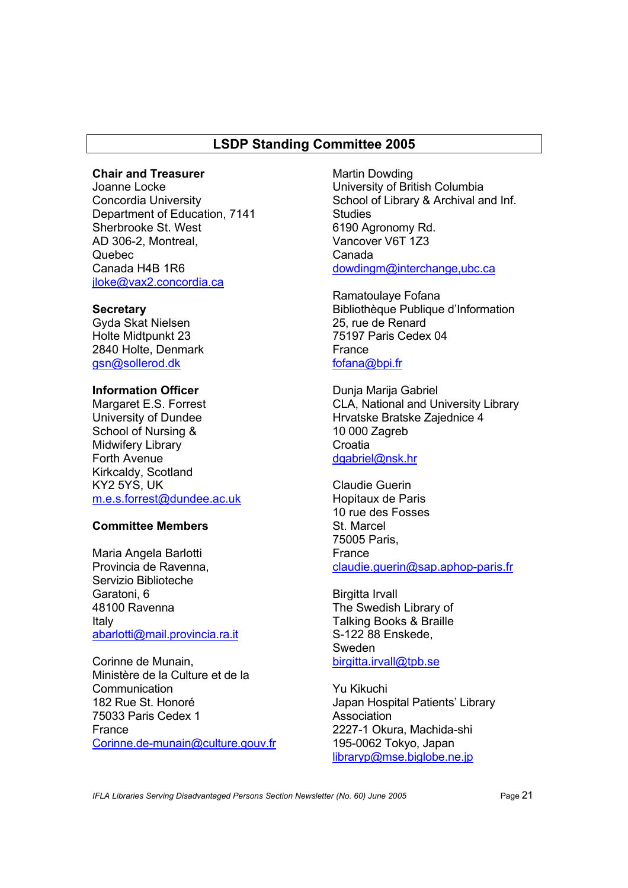## **LSDP Standing Committee 2005**

#### **Chair and Treasurer**

Joanne Locke Concordia University Department of Education, 7141 Sherbrooke St. West AD 306-2, Montreal, Quebec Canada H4B 1R6 jloke@vax2.concordia.ca

#### **Secretary**

Gyda Skat Nielsen Holte Midtpunkt 23 2840 Holte, Denmark gsn@sollerod.dk

#### **Information Officer**  Margaret E.S. Forrest University of Dundee School of Nursing & Midwifery Library Forth Avenue Kirkcaldy, Scotland KY2 5YS, UK

#### m.e.s.forrest@dundee.ac.uk

## **Committee Members**

Maria Angela Barlotti Provincia de Ravenna, Servizio Biblioteche Garatoni, 6 48100 Ravenna Italy abarlotti@mail.provincia.ra.it

Corinne de Munain, Ministère de la Culture et de la **Communication** 182 Rue St. Honoré 75033 Paris Cedex 1 France Corinne.de-munain@culture.gouv.fr

Martin Dowding University of British Columbia School of Library & Archival and Inf. **Studies** 6190 Agronomy Rd. Vancover V6T 1Z3 Canada dowdingm@interchange,ubc.ca

Ramatoulaye Fofana Bibliothèque Publique d'Information 25, rue de Renard 75197 Paris Cedex 04 France fofana@bpi.fr

Dunja Marija Gabriel CLA, National and University Library Hrvatske Bratske Zajednice 4 10 000 Zagreb **Croatia** dgabriel@nsk.hr

Claudie Guerin Hopitaux de Paris 10 rue des Fosses St. Marcel 75005 Paris, France claudie.guerin@sap.aphop-paris.fr

Birgitta Irvall The Swedish Library of Talking Books & Braille S-122 88 Enskede, Sweden birgitta.irvall@tpb.se

Yu Kikuchi Japan Hospital Patients' Library Association 2227-1 Okura, Machida-shi 195-0062 Tokyo, Japan libraryp@mse.biglobe.ne.jp